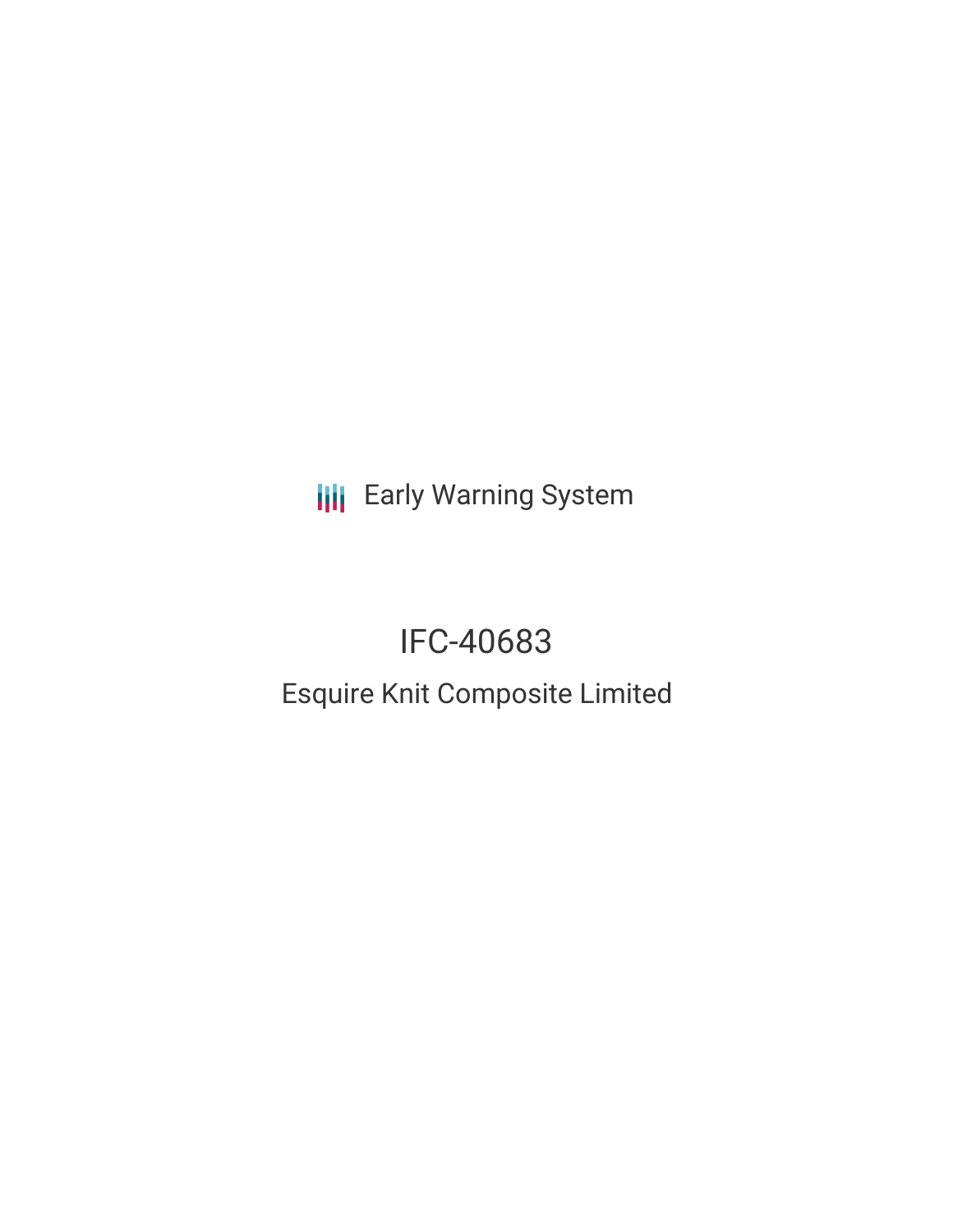**III** Early Warning System

# IFC-40683 Esquire Knit Composite Limited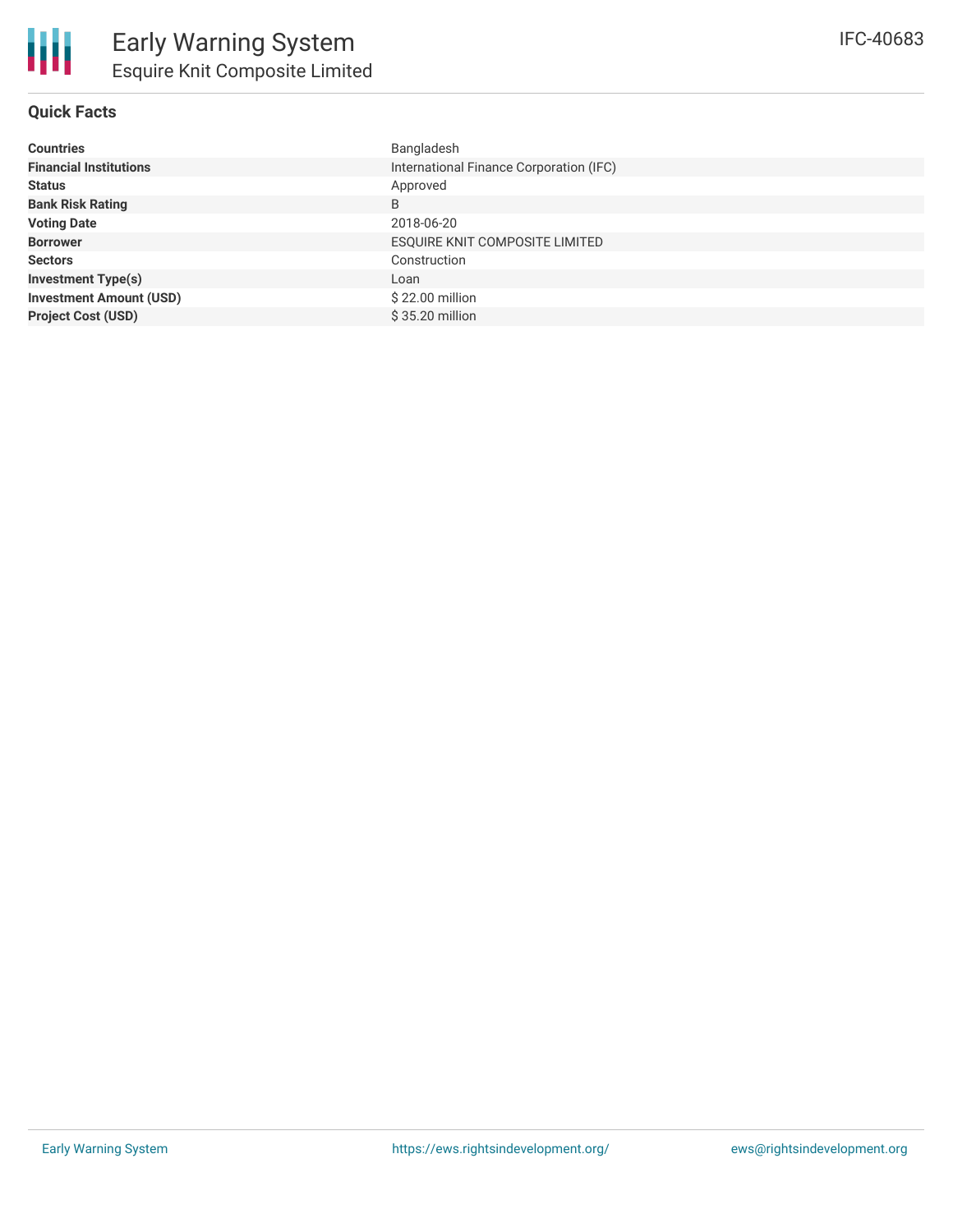# **Quick Facts**

| <b>Countries</b>               | Bangladesh                              |
|--------------------------------|-----------------------------------------|
| <b>Financial Institutions</b>  | International Finance Corporation (IFC) |
| <b>Status</b>                  | Approved                                |
| <b>Bank Risk Rating</b>        | B                                       |
| <b>Voting Date</b>             | 2018-06-20                              |
| <b>Borrower</b>                | ESQUIRE KNIT COMPOSITE LIMITED          |
| <b>Sectors</b>                 | Construction                            |
| <b>Investment Type(s)</b>      | Loan                                    |
| <b>Investment Amount (USD)</b> | \$22.00 million                         |
| <b>Project Cost (USD)</b>      | \$35.20 million                         |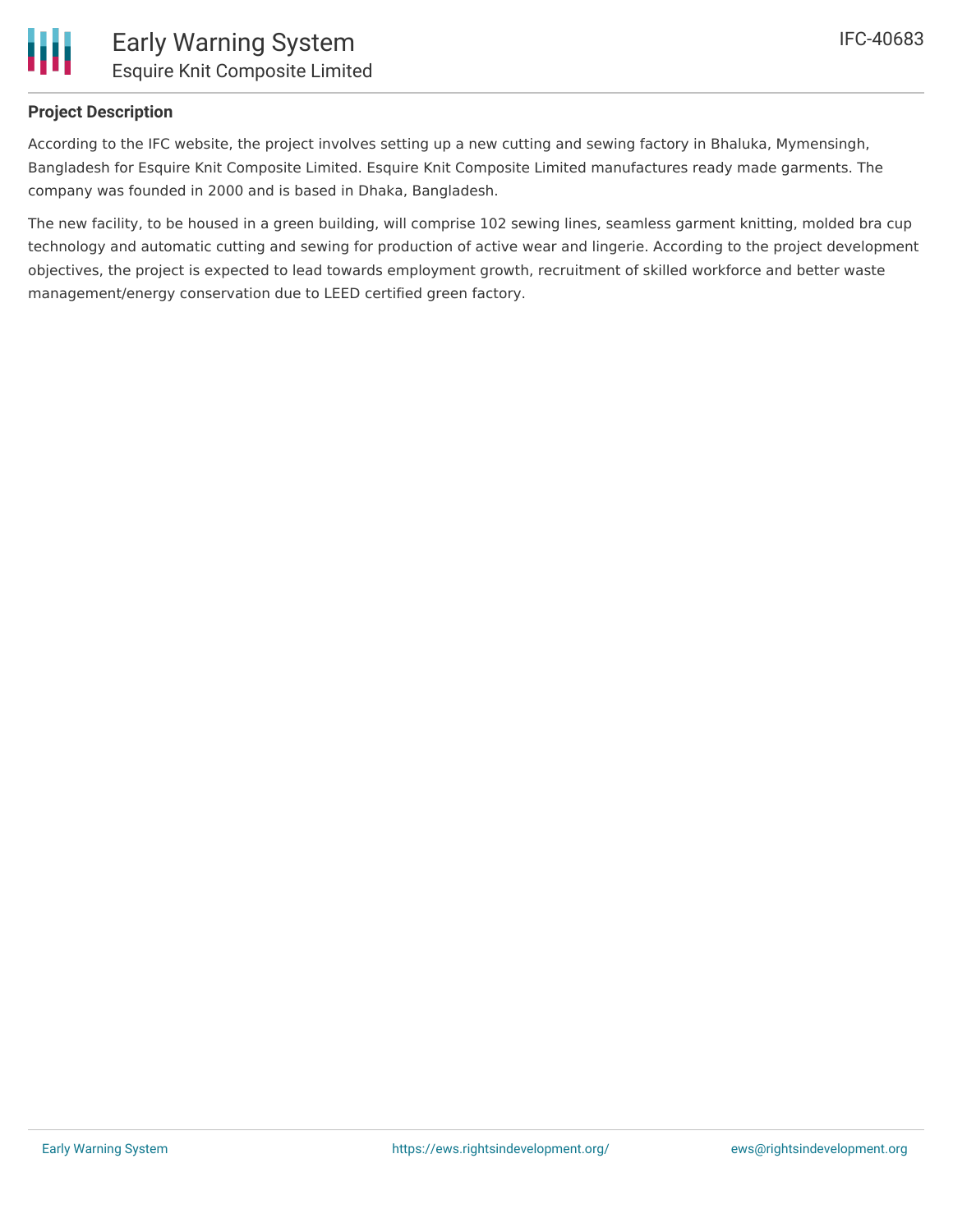

# **Project Description**

According to the IFC website, the project involves setting up a new cutting and sewing factory in Bhaluka, Mymensingh, Bangladesh for Esquire Knit Composite Limited. Esquire Knit Composite Limited manufactures ready made garments. The company was founded in 2000 and is based in Dhaka, Bangladesh.

The new facility, to be housed in a green building, will comprise 102 sewing lines, seamless garment knitting, molded bra cup technology and automatic cutting and sewing for production of active wear and lingerie. According to the project development objectives, the project is expected to lead towards employment growth, recruitment of skilled workforce and better waste management/energy conservation due to LEED certified green factory.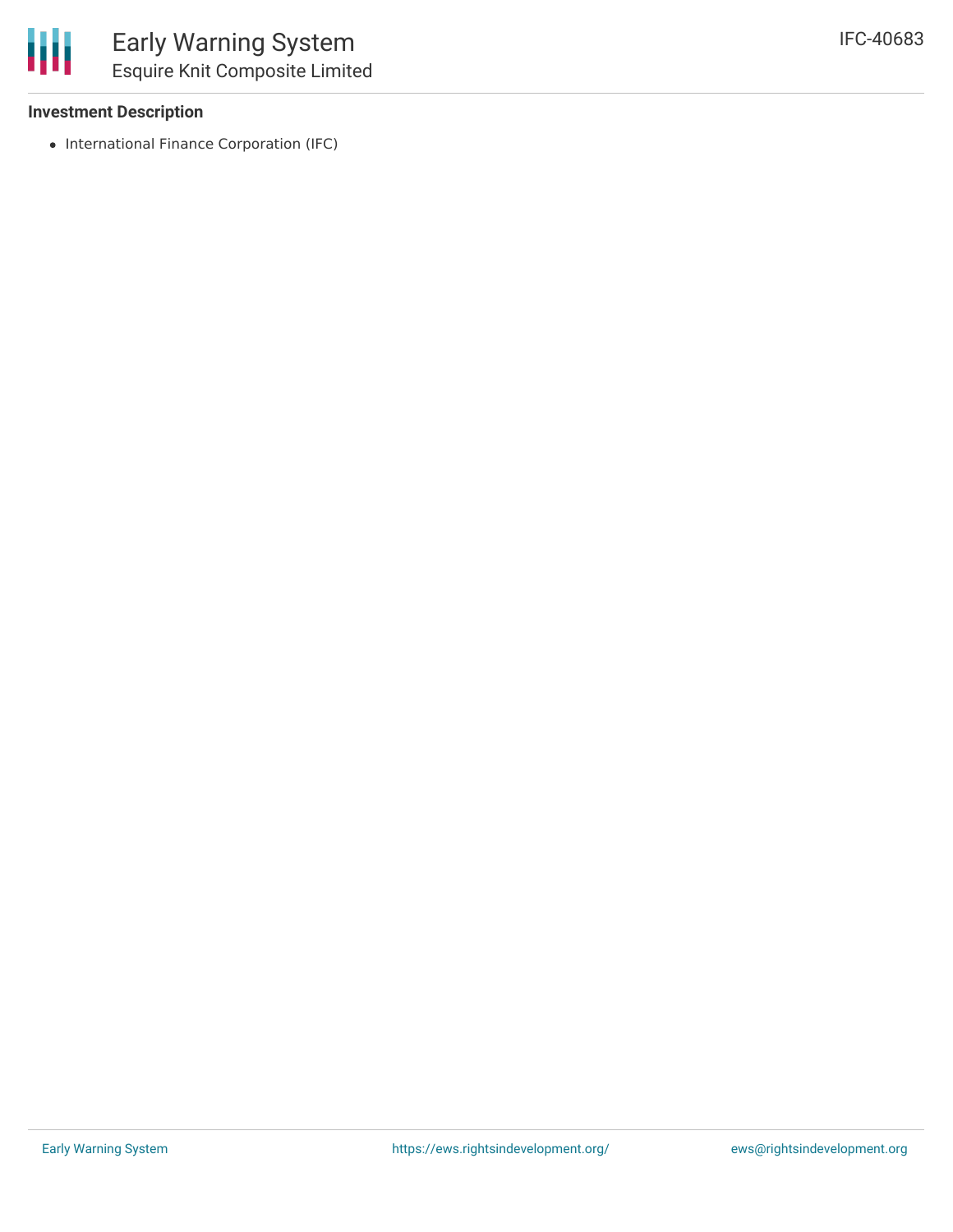#### **Investment Description**

• International Finance Corporation (IFC)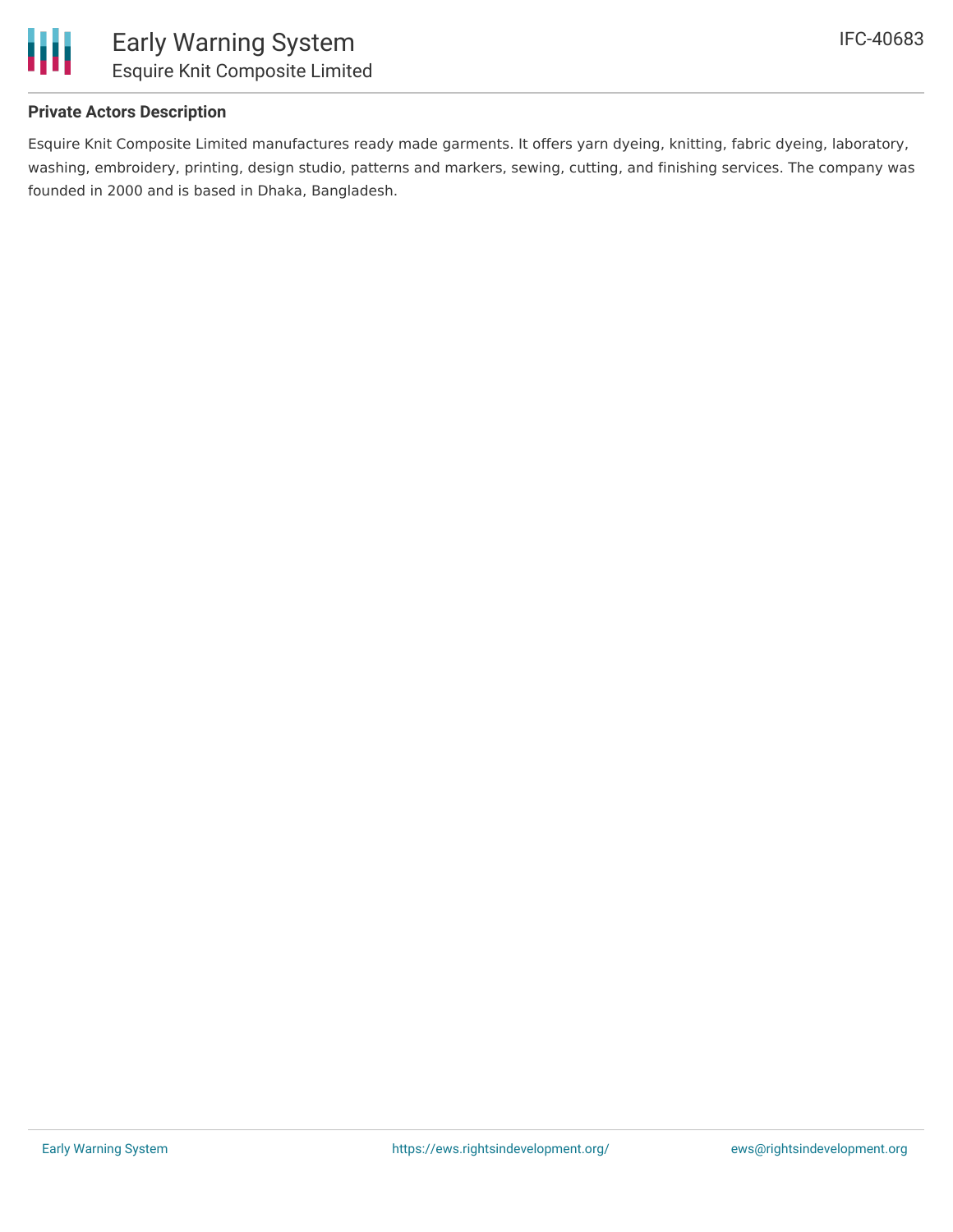

# **Private Actors Description**

Esquire Knit Composite Limited manufactures ready made garments. It offers yarn dyeing, knitting, fabric dyeing, laboratory, washing, embroidery, printing, design studio, patterns and markers, sewing, cutting, and finishing services. The company was founded in 2000 and is based in Dhaka, Bangladesh.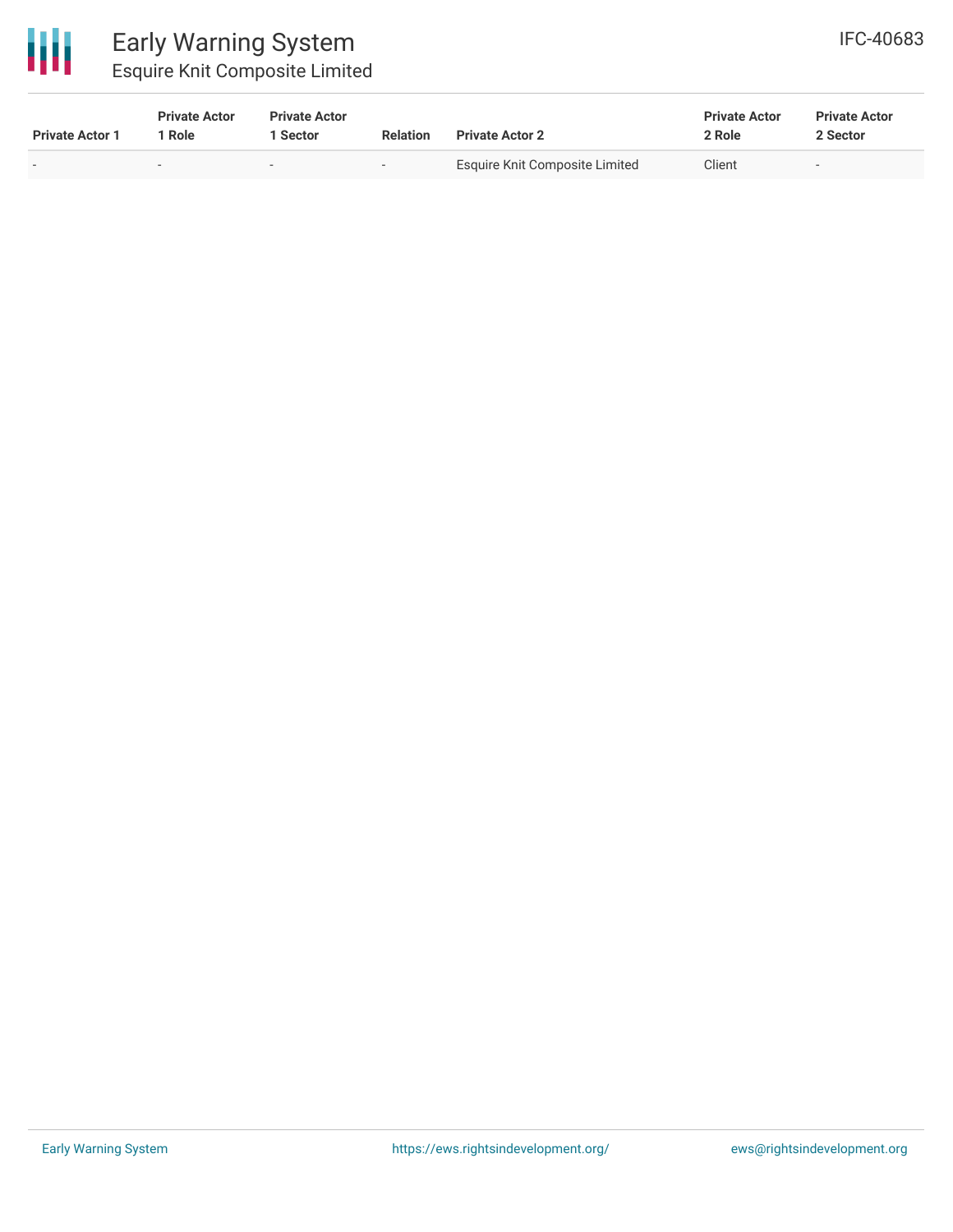

# Early Warning System Esquire Knit Composite Limited

| <b>Private Actor 1</b> | <b>Private Actor</b><br>Role | <b>Private Actor</b><br>Sector | <b>Relation</b>          | <b>Private Actor 2</b>         | <b>Private Actor</b><br>2 Role | <b>Private Actor</b><br>2 Sector |  |
|------------------------|------------------------------|--------------------------------|--------------------------|--------------------------------|--------------------------------|----------------------------------|--|
|                        |                              | $\overline{\phantom{0}}$       | $\overline{\phantom{0}}$ | Esquire Knit Composite Limited | Client                         | $\sim$                           |  |